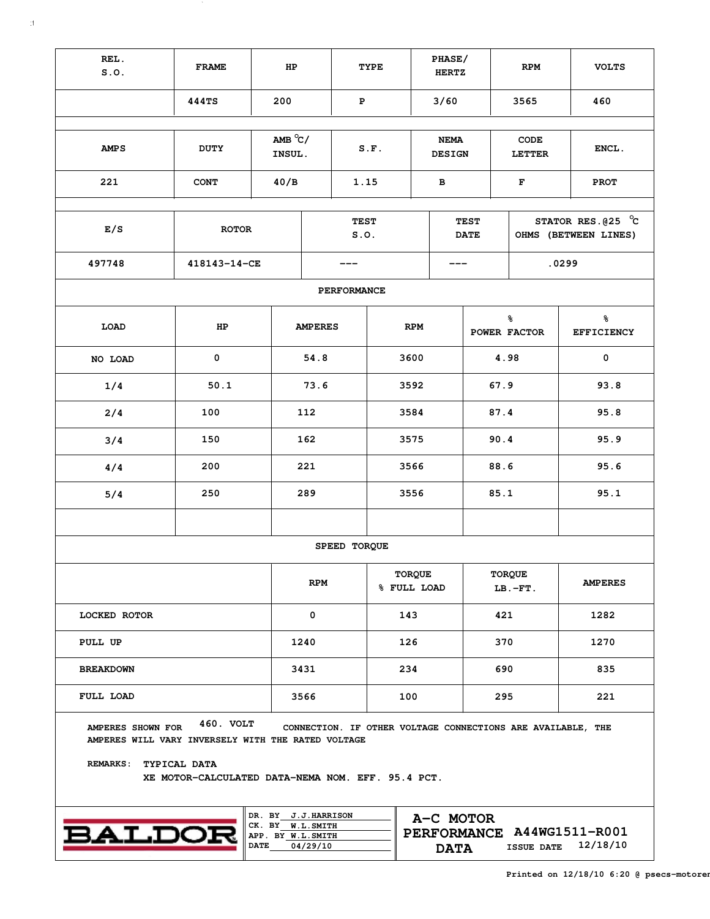| REL.<br>S.0.                                                                               | <b>FRAME</b>                                                                   | HP                                    |                                                             | TYPE                       |                                         | PHASE/<br><b>HERTZ</b> | <b>RPM</b>                                     | <b>VOLTS</b>           |  |
|--------------------------------------------------------------------------------------------|--------------------------------------------------------------------------------|---------------------------------------|-------------------------------------------------------------|----------------------------|-----------------------------------------|------------------------|------------------------------------------------|------------------------|--|
|                                                                                            | <b>444TS</b>                                                                   | 200                                   |                                                             | $\mathbf P$                |                                         |                        | 3565                                           | 460                    |  |
|                                                                                            |                                                                                |                                       |                                                             |                            |                                         |                        |                                                |                        |  |
| <b>AMPS</b>                                                                                | AMB $\degree$ C/<br><b>DUTY</b><br>INSUL.                                      |                                       | S.F.                                                        |                            | <b>NEMA</b><br><b>DESIGN</b>            |                        | CODE<br><b>LETTER</b>                          | ENCL.                  |  |
| 221                                                                                        | <b>CONT</b>                                                                    | 40/B                                  | 1.15                                                        | в                          |                                         | F                      |                                                | <b>PROT</b>            |  |
|                                                                                            |                                                                                |                                       |                                                             |                            |                                         |                        |                                                |                        |  |
| E/S                                                                                        | <b>ROTOR</b>                                                                   |                                       | <b>TEST</b><br>S.0.                                         | <b>TEST</b><br><b>DATE</b> |                                         |                        | STATOR RES. $@25$ $°C$<br>OHMS (BETWEEN LINES) |                        |  |
| 497748                                                                                     | 418143-14-CE                                                                   |                                       | ---                                                         |                            | ---                                     |                        |                                                | .0299                  |  |
|                                                                                            |                                                                                |                                       | PERFORMANCE                                                 |                            |                                         |                        |                                                |                        |  |
| LOAD                                                                                       | HP                                                                             |                                       | <b>AMPERES</b>                                              |                            | <b>RPM</b>                              |                        | ៖<br>POWER FACTOR                              | ៖<br><b>EFFICIENCY</b> |  |
| NO LOAD                                                                                    | 0                                                                              |                                       | 54.8                                                        | 3600                       |                                         | 4.98                   |                                                | 0                      |  |
| 1/4                                                                                        | 50.1                                                                           |                                       | 73.6                                                        | 3592                       |                                         | 67.9                   |                                                | 93.8                   |  |
| 2/4                                                                                        | 100                                                                            |                                       | 112                                                         |                            | 3584                                    |                        | 87.4                                           | 95.8                   |  |
| 3/4                                                                                        | 150                                                                            |                                       | 162                                                         | 3575                       |                                         | 90.4                   |                                                | 95.9                   |  |
| 4/4                                                                                        | 200                                                                            |                                       | 221                                                         | 3566                       |                                         | 88.6                   |                                                | 95.6                   |  |
| 5/4                                                                                        | 250                                                                            |                                       | 289                                                         | 3556                       |                                         | 85.1                   |                                                | 95.1                   |  |
|                                                                                            |                                                                                |                                       |                                                             |                            |                                         |                        |                                                |                        |  |
|                                                                                            |                                                                                |                                       | SPEED TORQUE                                                |                            |                                         |                        |                                                |                        |  |
|                                                                                            |                                                                                | <b>RPM</b>                            |                                                             | TORQUE<br>% FULL LOAD      |                                         | TORQUE<br>$LB.-FT.$    | <b>AMPERES</b>                                 |                        |  |
| LOCKED ROTOR                                                                               |                                                                                |                                       | 0                                                           |                            | 143                                     |                        | 421                                            | 1282                   |  |
| PULL UP                                                                                    |                                                                                | 1240                                  |                                                             | 126                        |                                         | 370                    | 1270                                           |                        |  |
| <b>BREAKDOWN</b>                                                                           |                                                                                |                                       | 3431                                                        |                            | 234                                     |                        | 690                                            | 835                    |  |
| <b>FULL LOAD</b>                                                                           |                                                                                |                                       | 3566                                                        |                            | 100                                     |                        | 295                                            | 221                    |  |
| AMPERES SHOWN FOR<br>AMPERES WILL VARY INVERSELY WITH THE RATED VOLTAGE<br><b>REMARKS:</b> | 460. VOLT<br>TYPICAL DATA<br>XE MOTOR-CALCULATED DATA-NEMA NOM. EFF. 95.4 PCT. |                                       | CONNECTION. IF OTHER VOLTAGE CONNECTIONS ARE AVAILABLE, THE |                            |                                         |                        |                                                |                        |  |
|                                                                                            |                                                                                |                                       | DR. BY J.J.HARRISON                                         |                            |                                         |                        |                                                |                        |  |
| <b>BALDOR</b>                                                                              |                                                                                | CK. BY W.L.SMITH<br>APP. BY W.L.SMITH |                                                             |                            | A-C MOTOR<br>PERFORMANCE A44WG1511-R001 |                        |                                                |                        |  |

**APP. BY DATE**

 $\mathcal{N}$ 

**04/29/10 12/18/10 DATA ISSUE DATE**

**PERFORMANCE**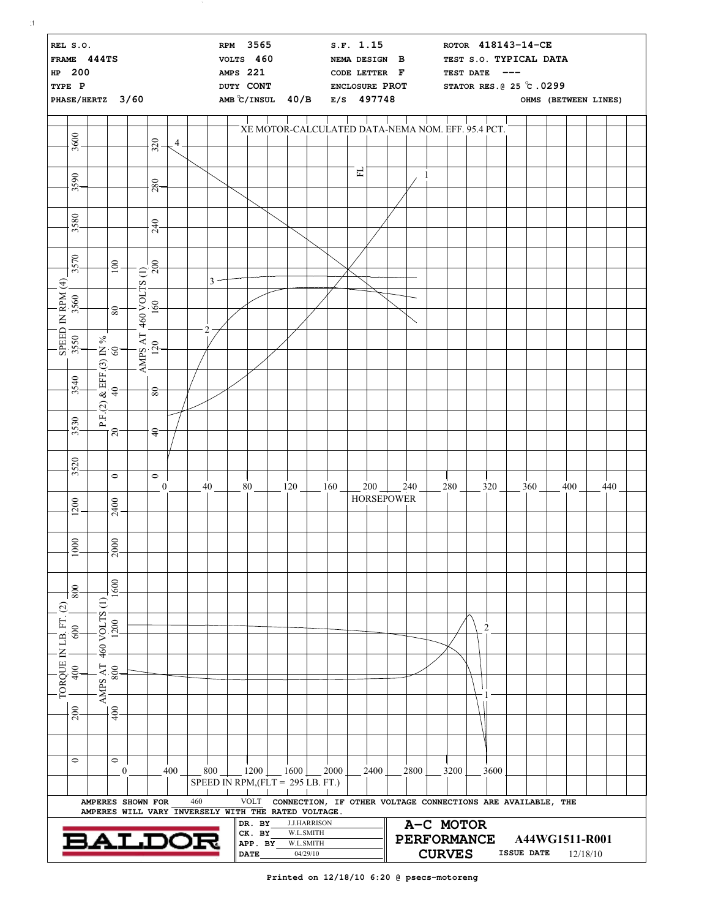